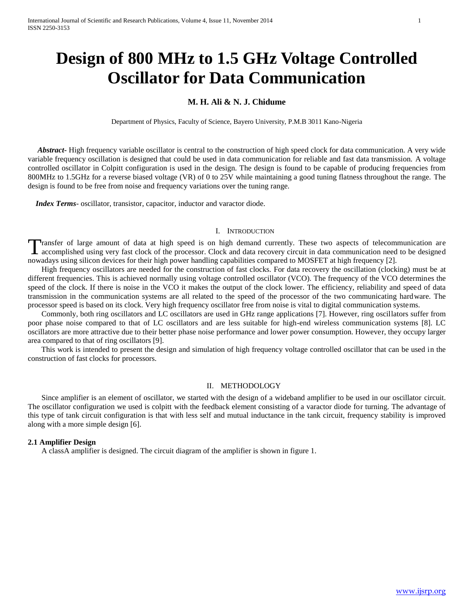# **Design of 800 MHz to 1.5 GHz Voltage Controlled Oscillator for Data Communication**

## **M. H. Ali & N. J. Chidume**

Department of Physics, Faculty of Science, Bayero University, P.M.B 3011 Kano-Nigeria

 *Abstract***-** High frequency variable oscillator is central to the construction of high speed clock for data communication. A very wide variable frequency oscillation is designed that could be used in data communication for reliable and fast data transmission. A voltage controlled oscillator in Colpitt configuration is used in the design. The design is found to be capable of producing frequencies from 800MHz to 1.5GHz for a reverse biased voltage (VR) of 0 to 25V while maintaining a good tuning flatness throughout the range. The design is found to be free from noise and frequency variations over the tuning range.

 *Index Terms*- oscillator, transistor, capacitor, inductor and varactor diode.

#### I. INTRODUCTION

Transfer of large amount of data at high speed is on high demand currently. These two aspects of telecommunication are Transfer of large amount of data at high speed is on high demand currently. These two aspects of telecommunication are accomplished using very fast clock of the processor. Clock and data recovery circuit in data communicat nowadays using silicon devices for their high power handling capabilities compared to MOSFET at high frequency [2].

 High frequency oscillators are needed for the construction of fast clocks. For data recovery the oscillation (clocking) must be at different frequencies. This is achieved normally using voltage controlled oscillator (VCO). The frequency of the VCO determines the speed of the clock. If there is noise in the VCO it makes the output of the clock lower. The efficiency, reliability and speed of data transmission in the communication systems are all related to the speed of the processor of the two communicating hardware. The processor speed is based on its clock. Very high frequency oscillator free from noise is vital to digital communication systems.

 Commonly, both ring oscillators and LC oscillators are used in GHz range applications [7]. However, ring oscillators suffer from poor phase noise compared to that of LC oscillators and are less suitable for high-end wireless communication systems [8]. LC oscillators are more attractive due to their better phase noise performance and lower power consumption. However, they occupy larger area compared to that of ring oscillators [9].

 This work is intended to present the design and simulation of high frequency voltage controlled oscillator that can be used in the construction of fast clocks for processors.

#### II. METHODOLOGY

 Since amplifier is an element of oscillator, we started with the design of a wideband amplifier to be used in our oscillator circuit. The oscillator configuration we used is colpitt with the feedback element consisting of a varactor diode for turning. The advantage of this type of tank circuit configuration is that with less self and mutual inductance in the tank circuit, frequency stability is improved along with a more simple design [6].

#### **2.1 Amplifier Design**

A classA amplifier is designed. The circuit diagram of the amplifier is shown in figure 1.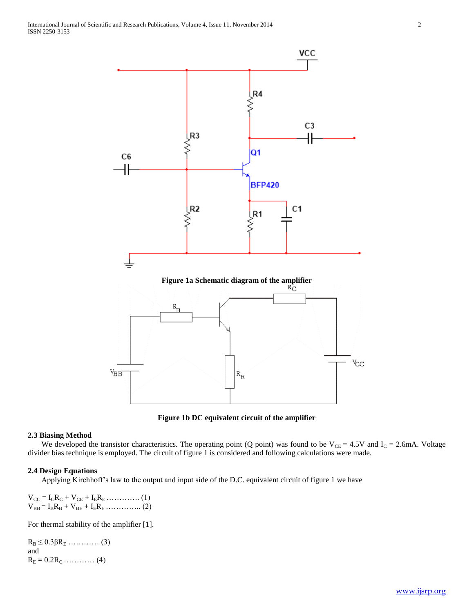

**Figure 1b DC equivalent circuit of the amplifier**

### **2.3 Biasing Method**

We developed the transistor characteristics. The operating point (Q point) was found to be  $V_{CE} = 4.5V$  and  $I_C = 2.6mA$ . Voltage divider bias technique is employed. The circuit of figure 1 is considered and following calculations were made.

#### **2.4 Design Equations**

Applying Kirchhoff's law to the output and input side of the D.C. equivalent circuit of figure 1 we have

 $V_{CC} = I_C R_C + V_{CE} + I_E R_E$  ………….. (1)  $V_{BB} = I_B R_B + V_{BE} + I_E R_E$  …………….. (2)

For thermal stability of the amplifier [1].

 $R_B \leq 0.3\beta R_E$  ………… (3) and  $R_E = 0.2R_C$  ………… (4)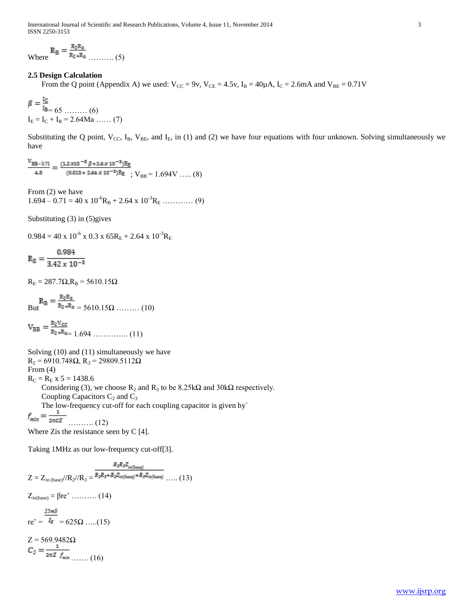International Journal of Scientific and Research Publications, Volume 4, Issue 11, November 2014 3 ISSN 2250-3153

Where ………. (5)

### **2.5 Design Calculation**

From the Q point (Appendix A) we used:  $V_{CC} = 9v$ ,  $V_{CE} = 4.5v$ ,  $I_B = 40\mu A$ ,  $I_C = 2.6mA$  and  $V_{BE} = 0.71V$ 

$$
\beta = \frac{45}{18} = 65 \dots \dots \dots (6)
$$
  
I<sub>E</sub> = I<sub>C</sub> + I<sub>B</sub> = 2.64Ma \dots (7)

Substituting the Q point,  $V_{CC}$ , I<sub>B</sub>,  $V_{BE}$ , and I<sub>E</sub>, in (1) and (2) we have four equations with four unknown. Solving simultaneously we have

 $\frac{V_{BB-0.71}}{4.5} = \frac{(1.2 \times 10^{-5} \beta + 2.6 \times 10^{-3}) R_{\Xi}}{(0.013 + 2.64 \times 10^{-3}) R_{\Xi}}$  ; V<sub>BB</sub> = 1.694V ….. (8)

From (2) we have  $1.694 - 0.71 = 40 \times 10^{-6} R_B + 2.64 \times 10^{-3} R_E$  ………… (9)

Substituting (3) in (5)gives

 $0.984 = 40 \times 10^{-6} \times 0.3 \times 65R_E + 2.64 \times 10^{-3}R_E$ 

$$
R_E = \frac{0.984}{3.42 \times 10^{-3}}
$$

 $R_E = 287.7Ω$ ,  $R_B = 5610.15Ω$ 

$$
R_B = \frac{R_2 R_3}{R_2 + R_3} = 5610.15 \Omega \dots \dots \dots (10)
$$

$$
V_{BB} = \frac{R_2 V_{CC}}{R_2 + R_3} = 1.694 \dots \dots \dots \dots \dots (11)
$$

Solving (10) and (11) simultaneously we have  $R_2$  = 6910.748Ω,  $R_3$  = 29809.5112Ω From (4)  $R_C = R_E x 5 = 1438.6$ Considering (3), we choose  $R_2$  and  $R_3$  to be 8.25k $\Omega$  and 30k $\Omega$  respectively. Coupling Capacitors  $C_2$  and  $C_3$ The low-frequency cut-off for each coupling capacitor is given by<br> $f_{min} = \frac{1}{2\pi cZ}$  (12) ………. (12) Where Zis the resistance seen by C [4].

Taking 1MHz as our low-frequency cut-off[3].

$$
Z = Z_{\text{in (base)}} / (R_2 / R_3 = \frac{R_2 R_3 Z_{\text{int}(base)}}{R_2 R_3 + R_2 Z_{\text{int}(base)} + R_3 Z_{\text{int}(base)}} \dots (13)
$$
  
\n
$$
Z_{\text{in}(base)} = \beta r e^{\gamma} \dots \dots (14)
$$
  
\n
$$
r e^{\gamma} = \frac{25mV}{I_E} = 625 \Omega \dots (15)
$$
  
\n
$$
Z = 569.9482 \Omega
$$
  
\n
$$
C_2 = \frac{1}{2\pi Z J_{\text{min}}} \dots (16)
$$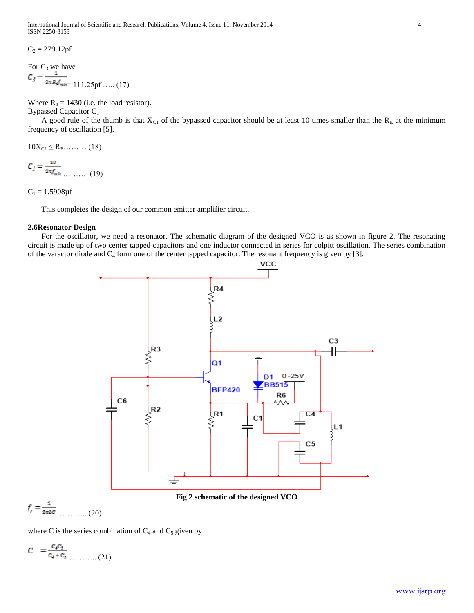International Journal of Scientific and Research Publications, Volume 4, Issue 11, November 2014 4 ISSN 2250-3153

 $C_2 = 279.12$ pf

For C<sub>3</sub> we have  

$$
C_3 = \frac{1}{2\pi R \mathcal{J}_{\text{micro}}}
$$
111.25pf ..... (17)

Where  $R_4 = 1430$  (i.e. the load resistor). Bypassed Capacitor C<sup>1</sup>

A good rule of the thumb is that  $X_{C1}$  of the bypassed capacitor should be at least 10 times smaller than the  $R_E$  at the minimum frequency of oscillation [5].

 $10X_{C1} \le R_E$ ……… (18)

 $C_l = \frac{10}{2\pi f_{min}}$  (19)

 $C_1 = 1.5908 \mu f$ 

This completes the design of our common emitter amplifier circuit.

#### **2.6Resonator Design**

For the oscillator, we need a resonator. The schematic diagram of the designed VCO is as shown in figure 2. The resonating circuit is made up of two center tapped capacitors and one inductor connected in series for colpitt oscillation. The series combination of the varactor diode and  $C_4$  form one of the center tapped capacitor. The resonant frequency is given by [3].



$$
f_r = \frac{1}{2\pi L c} \quad \dots \quad (20)
$$

where C is the series combination of  $C_4$  and  $C_5$  given by

$$
C = \frac{c_4 c_5}{c_4 + c_5} \tag{21}
$$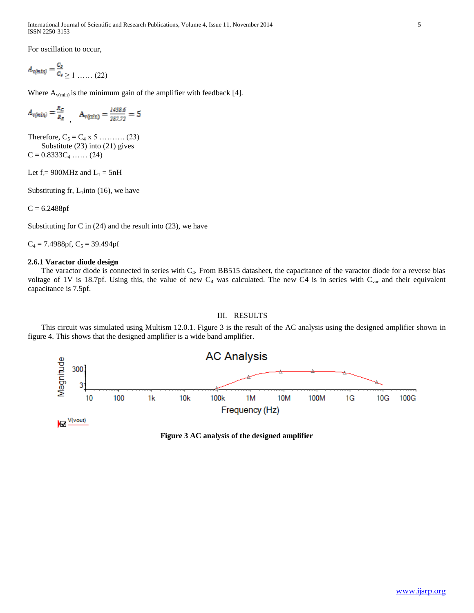International Journal of Scientific and Research Publications, Volume 4, Issue 11, November 2014 5 ISSN 2250-3153

For oscillation to occur,

$$
A_{v(min)} = \frac{c_s}{c_4} \ge 1 \dots \dots (22)
$$

Where  $A_{v(min)}$  is the minimum gain of the amplifier with feedback [4].

$$
A_{v(min)} = \frac{R_C}{R_E} \qquad A_{v(min)} = \frac{1438.6}{287.72} = 5
$$

Therefore,  $C_5 = C_4 \times 5$  ………. (23) Substitute (23) into (21) gives  $C = 0.8333C_4 \dots (24)$ 

Let  $f_r = 900$ MHz and  $L_1 = 5$ nH

Substituting fr,  $L_1$ into (16), we have

 $C = 6.2488$ pf

Substituting for C in  $(24)$  and the result into  $(23)$ , we have

 $C_4 = 7.4988$ pf,  $C_5 = 39.494$ pf

#### **2.6.1 Varactor diode design**

The varactor diode is connected in series with  $C_4$ . From BB515 datasheet, the capacitance of the varactor diode for a reverse bias voltage of 1V is 18.7pf. Using this, the value of new  $C_4$  was calculated. The new C4 is in series with  $C_{var}$  and their equivalent capacitance is 7.5pf.

#### III. RESULTS

 This circuit was simulated using Multism 12.0.1. Figure 3 is the result of the AC analysis using the designed amplifier shown in figure 4. This shows that the designed amplifier is a wide band amplifier.



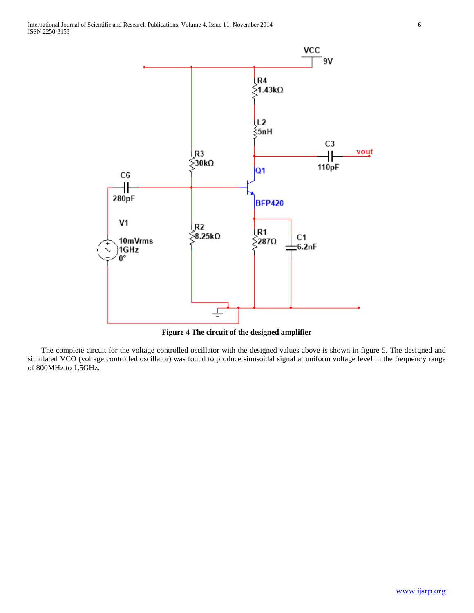

**Figure 4 The circuit of the designed amplifier**

 The complete circuit for the voltage controlled oscillator with the designed values above is shown in figure 5. The designed and simulated VCO (voltage controlled oscillator) was found to produce sinusoidal signal at uniform voltage level in the frequency range of 800MHz to 1.5GHz.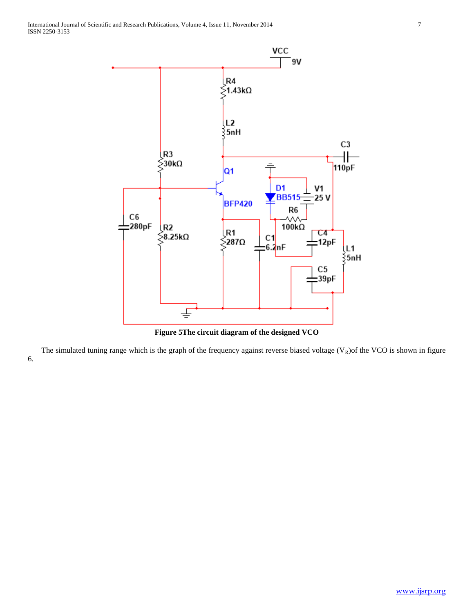

**Figure 5The circuit diagram of the designed VCO**

The simulated tuning range which is the graph of the frequency against reverse biased voltage  $(V_R)$ of the VCO is shown in figure 6.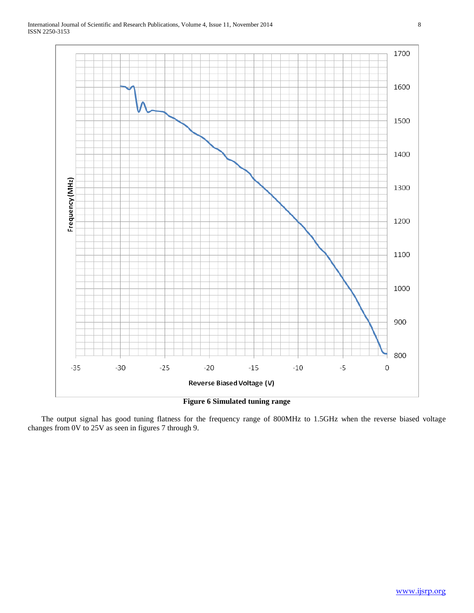

 The output signal has good tuning flatness for the frequency range of 800MHz to 1.5GHz when the reverse biased voltage changes from 0V to 25V as seen in figures 7 through 9.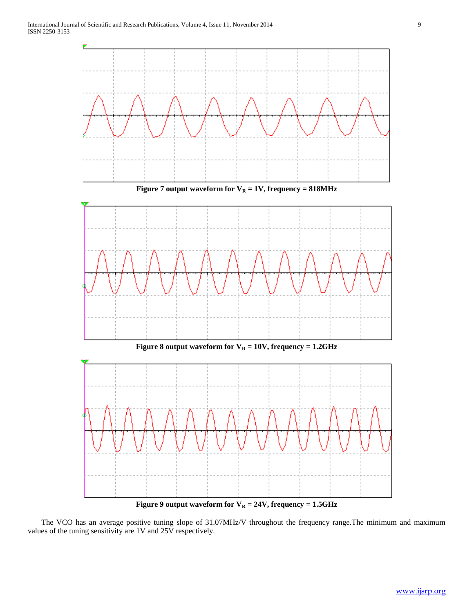

**Figure 9 output waveform for V<sup>R</sup> = 24V, frequency = 1.5GHz**

 The VCO has an average positive tuning slope of 31.07MHz/V throughout the frequency range.The minimum and maximum values of the tuning sensitivity are 1V and 25V respectively.